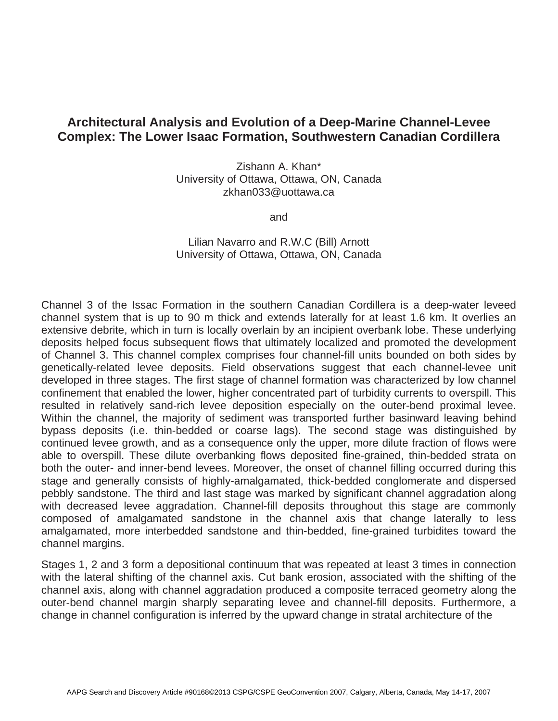## **Architectural Analysis and Evolution of a Deep-Marine Channel-Levee Complex: The Lower Isaac Formation, Southwestern Canadian Cordillera**

Zishann A. Khan\* University of Ottawa, Ottawa, ON, Canada zkhan033@uottawa.ca

and

## Lilian Navarro and R.W.C (Bill) Arnott University of Ottawa, Ottawa, ON, Canada

Channel 3 of the Issac Formation in the southern Canadian Cordillera is a deep-water leveed channel system that is up to 90 m thick and extends laterally for at least 1.6 km. It overlies an extensive debrite, which in turn is locally overlain by an incipient overbank lobe. These underlying deposits helped focus subsequent flows that ultimately localized and promoted the development of Channel 3. This channel complex comprises four channel-fill units bounded on both sides by genetically-related levee deposits. Field observations suggest that each channel-levee unit developed in three stages. The first stage of channel formation was characterized by low channel confinement that enabled the lower, higher concentrated part of turbidity currents to overspill. This resulted in relatively sand-rich levee deposition especially on the outer-bend proximal levee. Within the channel, the majority of sediment was transported further basinward leaving behind bypass deposits (i.e. thin-bedded or coarse lags). The second stage was distinguished by continued levee growth, and as a consequence only the upper, more dilute fraction of flows were able to overspill. These dilute overbanking flows deposited fine-grained, thin-bedded strata on both the outer- and inner-bend levees. Moreover, the onset of channel filling occurred during this stage and generally consists of highly-amalgamated, thick-bedded conglomerate and dispersed pebbly sandstone. The third and last stage was marked by significant channel aggradation along with decreased levee aggradation. Channel-fill deposits throughout this stage are commonly composed of amalgamated sandstone in the channel axis that change laterally to less amalgamated, more interbedded sandstone and thin-bedded, fine-grained turbidites toward the channel margins.

Stages 1, 2 and 3 form a depositional continuum that was repeated at least 3 times in connection with the lateral shifting of the channel axis. Cut bank erosion, associated with the shifting of the channel axis, along with channel aggradation produced a composite terraced geometry along the outer-bend channel margin sharply separating levee and channel-fill deposits. Furthermore, a change in channel configuration is inferred by the upward change in stratal architecture of the